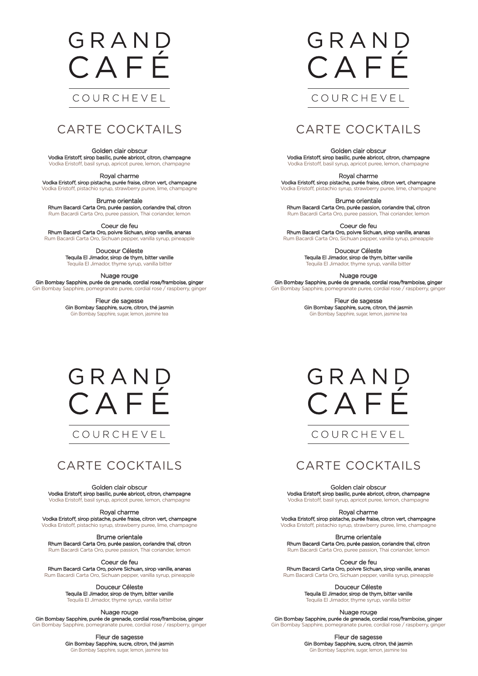## GRAND CAFÉ

### COURCHEVEL

Golden clair obscur Vodka Eristoff, sirop basilic, purée abricot, citron, champagne Vodka Eristoff, basil syrup, apricot puree, lemon, champagne

Royal charme Vodka Eristoff, sirop pistache, purée fraise, citron vert, champagne

Vodka Eristoff, pistachio syrup, strawberry puree, lime, champagne

Brume orientale Rhum Bacardi Carta Oro, purée passion, coriandre thaï, citron Rum Bacardi Carta Oro, puree passion, Thai coriander, lemon

Coeur de feu Rhum Bacardi Carta Oro, poivre Sichuan, sirop vanille, ananas Rum Bacardi Carta Oro, Sichuan pepper, vanilla syrup, pineapple

> Douceur Céleste Tequila El Jimador, sirop de thym, bitter vanille Tequila El Jimador, thyme syrup, vanilla bitter

Nuage rouge Gin Bombay Sapphire, purée de grenade, cordial rose/framboise, ginger Gin Bombay Sapphire, pomegranate puree, cordial rose / raspberry, ginger

> Fleur de sagesse Gin Bombay Sapphire, sucre, citron, thé jasmin Gin Bombay Sapphire, sugar, lemon, jasmine tea

# GRAND CAFF

COURCHEVEL

## CARTE COCKTAILS

Golden clair obscur Vodka Eristoff, sirop basilic, purée abricot, citron, champagne Vodka Eristoff, basil syrup, apricot puree, lemon, champagne

Royal charme Vodka Eristoff, sirop pistache, purée fraise, citron vert, champagne Vodka Eristoff, pistachio syrup, strawberry puree, lime, champagne

Brume orientale Rhum Bacardi Carta Oro, purée passion, coriandre thaï, citron Rum Bacardi Carta Oro, puree passion, Thai coriander, lemon

Coeur de feu Rhum Bacardi Carta Oro, poivre Sichuan, sirop vanille, ananas Rum Bacardi Carta Oro, Sichuan pepper, vanilla syrup, pineapple

> Douceur Céleste Tequila El Jimador, sirop de thym, bitter vanille Tequila El Jimador, thyme syrup, vanilla bitter

Nuage rouge Gin Bombay Sapphire, purée de grenade, cordial rose/framboise, ginger Gin Bombay Sapphire, pomegranate puree, cordial rose / raspberry, ginger

> Fleur de sagesse Gin Bombay Sapphire, sucre, citron, thé jasmin Gin Bombay Sapphire, sugar, lemon, jasmine tea

GRAND CAFÉ



## CARTE COCKTAILS

Golden clair obscur Vodka Eristoff, sirop basilic, purée abricot, citron, champagne Vodka Eristoff, basil syrup, apricot puree, lemon, champagne

GRAND CAFÉ

COURCHEVEL

Royal charme Vodka Eristoff, sirop pistache, purée fraise, citron vert, champagne Vodka Eristoff, pistachio syrup, strawberry puree, lime, champagne

Brume orientale Rhum Bacardi Carta Oro, purée passion, coriandre thaï, citron Rum Bacardi Carta Oro, puree passion, Thai coriander, lemon

Coeur de feu Rhum Bacardi Carta Oro, poivre Sichuan, sirop vanille, ananas Rum Bacardi Carta Oro, Sichuan pepper, vanilla syrup, pineapple

> Douceur Céleste Tequila El Jimador, sirop de thym, bitter vanille Tequila El Jimador, thyme syrup, vanilla bitter

Nuage rouge Gin Bombay Sapphire, purée de grenade, cordial rose/framboise, ginger Gin Bombay Sapphire, pomegranate puree, cordial rose / raspberry, ginger

> Fleur de sagesse Gin Bombay Sapphire, sucre, citron, thé jasmin Gin Bombay Sapphire, sugar, lemon, jasmine tea

## CARTE COCKTAILS

Golden clair obscur Vodka Eristoff, sirop basilic, purée abricot, citron, champagne Vodka Eristoff, basil syrup, apricot puree, lemon, champagne

Royal charme Vodka Eristoff, sirop pistache, purée fraise, citron vert, champagne Vodka Eristoff, pistachio syrup, strawberry puree, lime, champagne

Brume orientale Rhum Bacardi Carta Oro, purée passion, coriandre thaï, citron Rum Bacardi Carta Oro, puree passion, Thai coriander, lemon

Coeur de feu Rhum Bacardi Carta Oro, poivre Sichuan, sirop vanille, ananas Rum Bacardi Carta Oro, Sichuan pepper, vanilla syrup, pineapple

> Douceur Céleste Tequila El Jimador, sirop de thym, bitter vanille Tequila El Jimador, thyme syrup, vanilla bitter

Nuage rouge Gin Bombay Sapphire, purée de grenade, cordial rose/framboise, ginger Gin Bombay Sapphire, pomegranate puree, cordial rose / raspberry, ginger

> Fleur de sagesse Gin Bombay Sapphire, sucre, citron, thé jasmin Gin Bombay Sapphire, sugar, lemon, jasmine tea

CARTE COCKTAILS